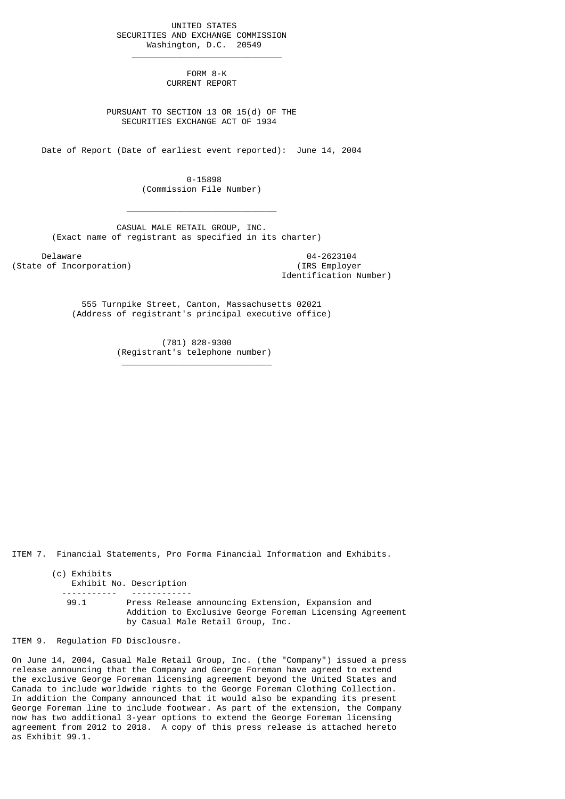UNITED STATES SECURITIES AND EXCHANGE COMMISSION Washington, D.C. 20549

 $\frac{1}{2}$  , and the set of the set of the set of the set of the set of the set of the set of the set of the set of the set of the set of the set of the set of the set of the set of the set of the set of the set of the set

 $\mathcal{L}_\text{max}$  and  $\mathcal{L}_\text{max}$  and  $\mathcal{L}_\text{max}$  and  $\mathcal{L}_\text{max}$  and  $\mathcal{L}_\text{max}$ 

\_\_\_\_\_\_\_\_\_\_\_\_\_\_\_\_\_\_\_\_\_\_\_\_\_\_\_\_\_\_

 FORM 8-K CURRENT REPORT

 PURSUANT TO SECTION 13 OR 15(d) OF THE SECURITIES EXCHANGE ACT OF 1934

Date of Report (Date of earliest event reported): June 14, 2004

 0-15898 (Commission File Number)

 CASUAL MALE RETAIL GROUP, INC. (Exact name of registrant as specified in its charter)

Delaware 04-2623104<br>
Delaware 04-2623104<br>
Of Incorporation (State of Incorporation)

Identification Number)

 555 Turnpike Street, Canton, Massachusetts 02021 (Address of registrant's principal executive office)

> (781) 828-9300 (Registrant's telephone number)

ITEM 7. Financial Statements, Pro Forma Financial Information and Exhibits.

(c) Exhibits Exhibit No. Description ----------- ------------ 99.1 Press Release announcing Extension, Expansion and Addition to Exclusive George Foreman Licensing Agreement by Casual Male Retail Group, Inc.

ITEM 9. Regulation FD Disclousre.

On June 14, 2004, Casual Male Retail Group, Inc. (the "Company") issued a press release announcing that the Company and George Foreman have agreed to extend the exclusive George Foreman licensing agreement beyond the United States and Canada to include worldwide rights to the George Foreman Clothing Collection. In addition the Company announced that it would also be expanding its present George Foreman line to include footwear. As part of the extension, the Company now has two additional 3-year options to extend the George Foreman licensing agreement from 2012 to 2018. A copy of this press release is attached hereto as Exhibit 99.1.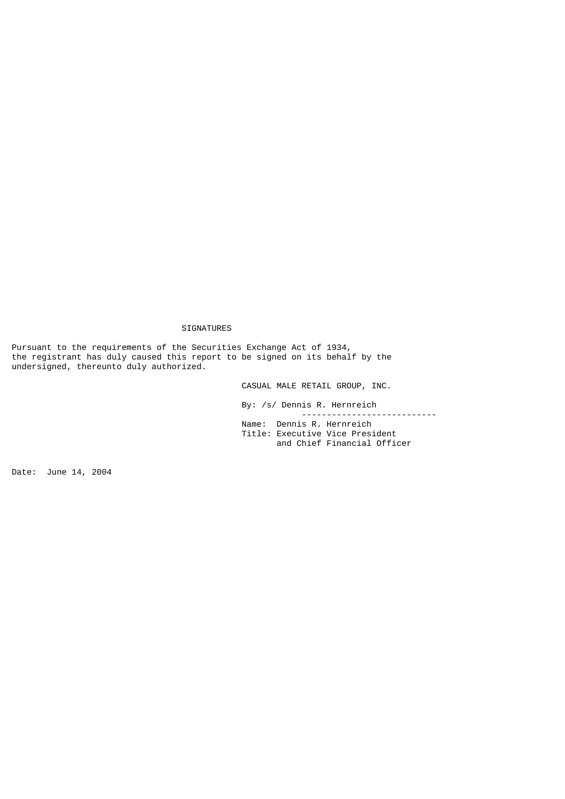## SIGNATURES

Pursuant to the requirements of the Securities Exchange Act of 1934, the registrant has duly caused this report to be signed on its behalf by the undersigned, thereunto duly authorized.

and Chief Financial Officer

CASUAL MALE RETAIL GROUP, INC.

 By: /s/ Dennis R. Hernreich --------------------------- Name: Dennis R. Hernreich Title: Executive Vice President

Date: June 14, 2004